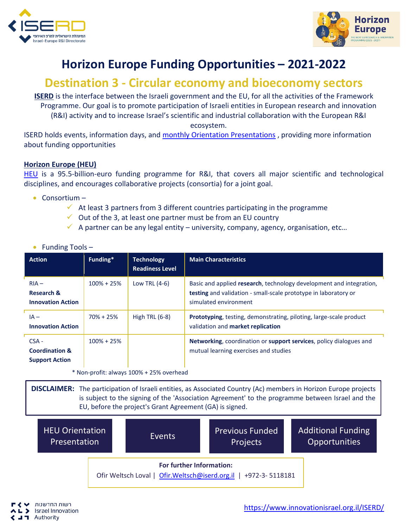



## **Horizon Europe Funding Opportunities – 2021-2022**

## **Destination 3 - Circular economy and bioeconomy sectors**

**ISERD** is the interface between the Israeli government and the EU, for all the activities of the Framework Programme. Our goal is to promote participation of Israeli entities in European research and innovation (R&I) activity and to increase Israel's scientific and industrial collaboration with the European R&I ecosystem.

ISERD holds events, information days, and [monthly Orientation Presentations](https://www.innovationisrael.org.il/ISERD/page/news-events) , providing more information about funding opportunities

## **Horizon Europe (HEU)**

[HEU](https://ec.europa.eu/info/horizon-europe_en) is a 95.5-billion-euro funding programme for R&I, that covers all major scientific and technological disciplines, and encourages collaborative projects (consortia) for a joint goal.

- Consortium
	- $\checkmark$  At least 3 partners from 3 different countries participating in the programme
	- $\checkmark$  Out of the 3, at least one partner must be from an EU country
	- $\checkmark$  A partner can be any legal entity university, company, agency, organisation, etc...

| <b>Action</b>                                                 | Funding*       | <b>Technology</b><br><b>Readiness Level</b> | <b>Main Characteristics</b>                                                                                                                                            |
|---------------------------------------------------------------|----------------|---------------------------------------------|------------------------------------------------------------------------------------------------------------------------------------------------------------------------|
| $RIA -$<br>Research &<br><b>Innovation Action</b>             | $100\% + 25\%$ | Low TRL $(4-6)$                             | Basic and applied research, technology development and integration,<br><b>testing</b> and validation - small-scale prototype in laboratory or<br>simulated environment |
| $IA -$<br><b>Innovation Action</b>                            | $70\% + 25\%$  | High TRL $(6-8)$                            | <b>Prototyping</b> , testing, demonstrating, piloting, large-scale product<br>validation and market replication                                                        |
| $CSA -$<br><b>Coordination &amp;</b><br><b>Support Action</b> | $100\% + 25\%$ |                                             | Networking, coordination or support services, policy dialogues and<br>mutual learning exercises and studies                                                            |

## • Funding Tools –

\* Non-profit: always 100% + 25% overhead

**DISCLAIMER:** The participation of Israeli entities, as Associated Country (Ac) members in Horizon Europe projects is subject to the signing of the 'Association Agreement' to the programme between Israel and the EU, before the project's Grant Agreement (GA) is signed.

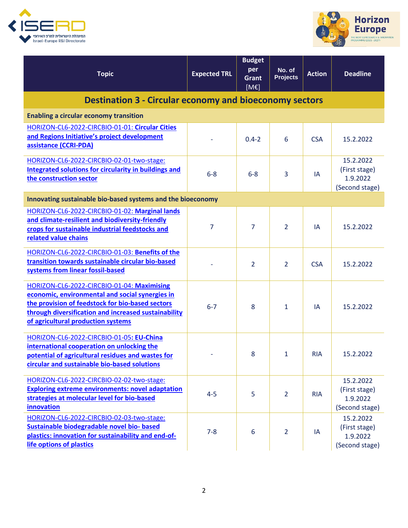



| <b>Topic</b>                                                                                                                                                                                                                                    | <b>Expected TRL</b> | <b>Budget</b><br>per<br>Grant<br>[ME] | No. of<br><b>Projects</b> | <b>Action</b> | <b>Deadline</b>                                          |  |  |  |  |
|-------------------------------------------------------------------------------------------------------------------------------------------------------------------------------------------------------------------------------------------------|---------------------|---------------------------------------|---------------------------|---------------|----------------------------------------------------------|--|--|--|--|
| <b>Destination 3 - Circular economy and bioeconomy sectors</b>                                                                                                                                                                                  |                     |                                       |                           |               |                                                          |  |  |  |  |
| <b>Enabling a circular economy transition</b>                                                                                                                                                                                                   |                     |                                       |                           |               |                                                          |  |  |  |  |
| HORIZON-CL6-2022-CIRCBIO-01-01: Circular Cities<br>and Regions Initiative's project development<br>assistance (CCRI-PDA)                                                                                                                        |                     | $0.4 - 2$                             | 6                         | <b>CSA</b>    | 15.2.2022                                                |  |  |  |  |
| HORIZON-CL6-2022-CIRCBIO-02-01-two-stage:<br><b>Integrated solutions for circularity in buildings and</b><br>the construction sector                                                                                                            | $6-8$               | $6 - 8$                               | 3                         | IA            | 15.2.2022<br>(First stage)<br>1.9.2022<br>(Second stage) |  |  |  |  |
| Innovating sustainable bio-based systems and the bioeconomy                                                                                                                                                                                     |                     |                                       |                           |               |                                                          |  |  |  |  |
| HORIZON-CL6-2022-CIRCBIO-01-02: Marginal lands<br>and climate-resilient and biodiversity-friendly<br>crops for sustainable industrial feedstocks and<br>related value chains                                                                    | 7                   | $\overline{7}$                        | 2                         | IA            | 15.2.2022                                                |  |  |  |  |
| HORIZON-CL6-2022-CIRCBIO-01-03: Benefits of the<br>transition towards sustainable circular bio-based<br>systems from linear fossil-based                                                                                                        |                     | $\overline{2}$                        | $\overline{2}$            | <b>CSA</b>    | 15.2.2022                                                |  |  |  |  |
| HORIZON-CL6-2022-CIRCBIO-01-04: Maximising<br>economic, environmental and social synergies in<br>the provision of feedstock for bio-based sectors<br>through diversification and increased sustainability<br>of agricultural production systems | $6 - 7$             | 8                                     | 1                         | IA            | 15.2.2022                                                |  |  |  |  |
| HORIZON-CL6-2022-CIRCBIO-01-05: EU-China<br>international cooperation on unlocking the<br>potential of agricultural residues and wastes for<br>circular and sustainable bio-based solutions                                                     |                     | 8                                     | 1                         | <b>RIA</b>    | 15.2.2022                                                |  |  |  |  |
| HORIZON-CL6-2022-CIRCBIO-02-02-two-stage:<br><b>Exploring extreme environments: novel adaptation</b><br>strategies at molecular level for bio-based<br>innovation                                                                               | $4 - 5$             | 5                                     | $\overline{2}$            | <b>RIA</b>    | 15.2.2022<br>(First stage)<br>1.9.2022<br>(Second stage) |  |  |  |  |
| HORIZON-CL6-2022-CIRCBIO-02-03-two-stage:<br>Sustainable biodegradable novel bio- based<br>plastics: innovation for sustainability and end-of-<br>life options of plastics                                                                      | $7 - 8$             | 6                                     | $\overline{2}$            | IA            | 15.2.2022<br>(First stage)<br>1.9.2022<br>(Second stage) |  |  |  |  |